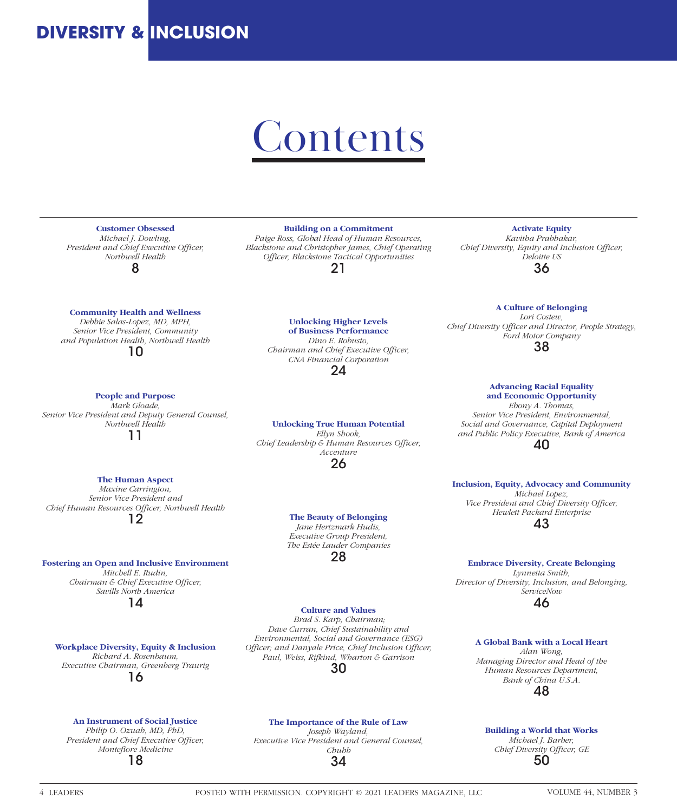## **DIVERSITY & INCLUSION**

# **Contents**

### **Customer Obsessed**

 *Michael J. Dowling, President and Chief Executive Officer, Northwell Health* 8

### **Community Health and Wellness**

*Debbie Salas-Lopez, MD, MPH, Senior Vice President, Community and Population Health, Northwell Health* 10

**People and Purpose** *Mark Gloade, Senior Vice President and Deputy General Counsel, Northwell Health* 11

### **The Human Aspect**

*Maxine Carrington, Senior Vice President and Chief Human Resources Officer, Northwell Health* 12

**Fostering an Open and Inclusive Environment** *Mitchell E. Rudin, Chairman & Chief Executive Officer, Savills North America* 14

**Workplace Diversity, Equity & Inclusion** *Richard A. Rosenbaum, Executive Chairman, Greenberg Traurig*

16

### **An Instrument of Social Justice**

*Philip O. Ozuah, MD, PhD, President and Chief Executive Officer, Montefiore Medicine* 18

#### **Building on a Commitment**

*Paige Ross, Global Head of Human Resources, Blackstone and Christopher James, Chief Operating Officer, Blackstone Tactical Opportunities* 21

> **Unlocking Higher Levels of Business Performance** *Dino E. Robusto, Chairman and Chief Executive Officer, CNA Financial Corporation* 24

**Unlocking True Human Potential** *Ellyn Shook, Chief Leadership & Human Resources Officer, Accenture* 26

#### **The Beauty of Belonging**

*Jane Hertzmark Hudis, Executive Group President, The Estée Lauder Companies* 28

### **Culture and Values**

 *Brad S. Karp, Chairman; Dave Curran, Chief Sustainability and Environmental, Social and Governance (ESG) Officer; and Danyale Price, Chief Inclusion Officer, Paul, Weiss, Rifkind, Wharton & Garrison*

30

**The Importance of the Rule of Law** *Joseph Wayland, Executive Vice President and General Counsel, Chubb* 34

**Activate Equity** *Kavitha Prabhakar, Chief Diversity, Equity and Inclusion Officer, Deloitte US*

36

#### **A Culture of Belonging**

*Lori Costew, Chief Diversity Officer and Director, People Strategy, Ford Motor Company* 38

> **Advancing Racial Equality and Economic Opportunity**

*Ebony A. Thomas, Senior Vice President, Environmental, Social and Governance, Capital Deployment and Public Policy Executive, Bank of America* 40

**Inclusion, Equity, Advocacy and Community** *Michael Lopez, Vice President and Chief Diversity Officer, Hewlett Packard Enterprise* 43

**Embrace Diversity, Create Belonging** *Lynnetta Smith, Director of Diversity, Inclusion, and Belonging, ServiceNow*

46

#### **A Global Bank with a Local Heart** *Alan Wong,*

*Managing Director and Head of the Human Resources Department, Bank of China U.S.A.* 48

**Building a World that Works** *Michael J. Barber, Chief Diversity Officer, GE* 50

4 LEADERS POSTED WITH PERMISSION. COPYRIGHT © 2021 LEADERS MAGAZINE, LLC VOLUME 44, NUMBER 3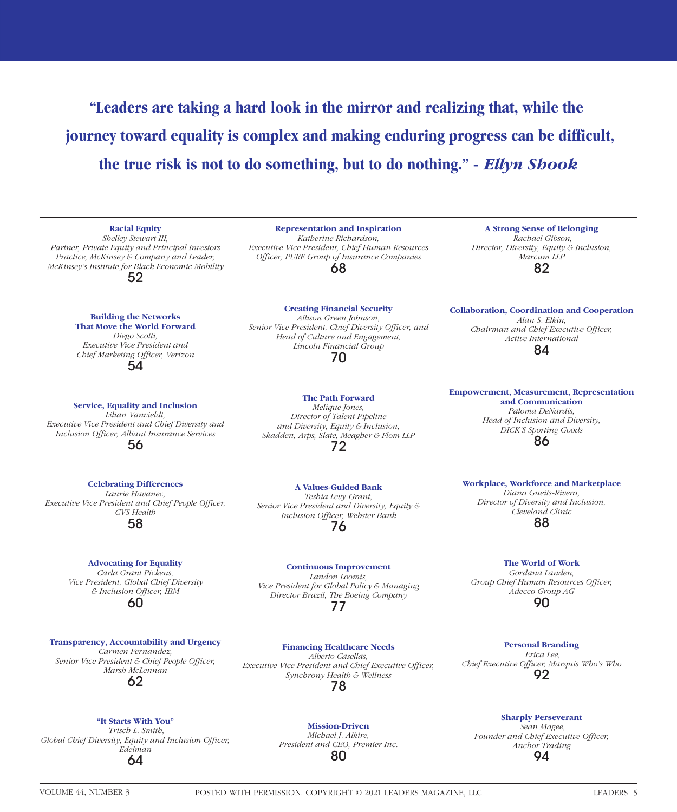**"Leaders are taking a hard look in the mirror and realizing that, while the journey toward equality is complex and making enduring progress can be difficult, the true risk is not to do something, but to do nothing." -** *Ellyn Shook*

**Building the Networks That Move the World Forward** *Diego Scotti, Executive Vice President and Chief Marketing Officer, Verizon*

**Racial Equity** *Shelley Stewart III, Partner, Private Equity and Principal Investors Practice, McKinsey & Company and Leader, McKinsey's Institute for Black Economic Mobility* 52

**Service, Equality and Inclusion** *Lilian Vanvieldt, Executive Vice President and Chief Diversity and Inclusion Officer, Alliant Insurance Services* 56

54

**Celebrating Differences**

*Laurie Havanec, Executive Vice President and Chief People Officer, CVS Health*

58

#### **Advocating for Equality**

*Carla Grant Pickens, Vice President, Global Chief Diversity & Inclusion Officer, IBM* 60

**Transparency, Accountability and Urgency** *Carmen Fernandez, Senior Vice President & Chief People Officer, Marsh McLennan* 62

68 **Creating Financial Security** *Allison Green Johnson,* 

**Representation and Inspiration** *Katherine Richardson, Executive Vice President, Chief Human Resources Officer, PURE Group of Insurance Companies*

*Senior Vice President, Chief Diversity Officer, and Head of Culture and Engagement, Lincoln Financial Group* 70

**The Path Forward** *Melique Jones, Director of Talent Pipeline and Diversity, Equity & Inclusion, Skadden, Arps, Slate, Meagher & Flom LLP* 72

**A Values-Guided Bank** *Teshia Levy-Grant, Senior Vice President and Diversity, Equity & Inclusion Officer, Webster Bank* 76

**Continuous Improvement**

*Landon Loomis, Vice President for Global Policy & Managing Director Brazil, The Boeing Company* 77

**Financing Healthcare Needs** *Alberto Casellas, Executive Vice President and Chief Executive Officer, Synchrony Health & Wellness* 78

**"It Starts With You"**  *Trisch L. Smith,* 

*Global Chief Diversity, Equity and Inclusion Officer, Edelman* 64

**Mission-Driven** *Michael J. Alkire, President and CEO, Premier Inc.* 80

**A Strong Sense of Belonging**  *Rachael Gibson, Director, Diversity, Equity & Inclusion, Marcum LLP* 82

**Collaboration, Coordination and Cooperation** *Alan S. Elkin, Chairman and Chief Executive Officer, Active International* 84

**Empowerment, Measurement, Representation and Communication** *Paloma DeNardis, Head of Inclusion and Diversity, DICK'S Sporting Goods* 86

**Workplace, Workforce and Marketplace** *Diana Gueits-Rivera, Director of Diversity and Inclusion, Cleveland Clinic* 88

**The World of Work**

*Gordana Landen, Group Chief Human Resources Officer, Adecco Group AG* 90

**Personal Branding**  *Erica Lee, Chief Executive Officer, Marquis Who's Who* 92

**Sharply Perseverant**

 *Sean Magee, Founder and Chief Executive Officer, Anchor Trading* 94